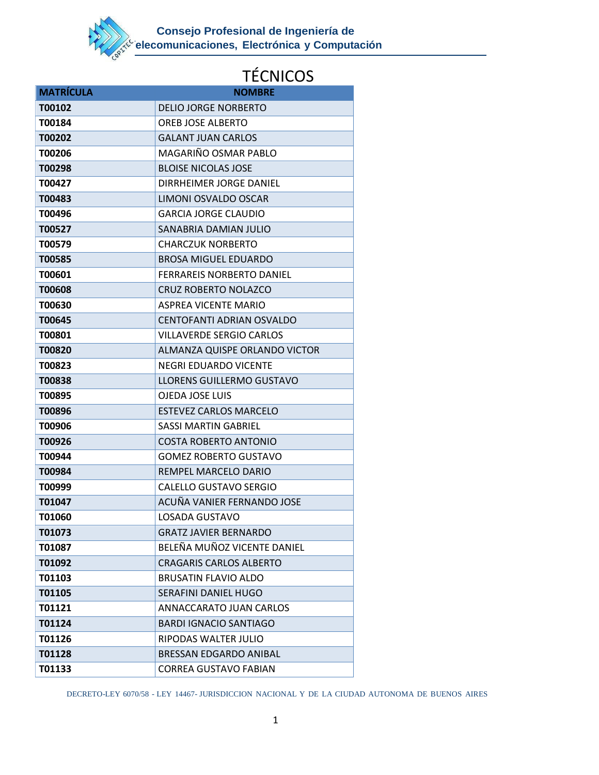

| <b>MATRÍCULA</b> | <b>NOMBRE</b>                    |
|------------------|----------------------------------|
| T00102           | <b>DELIO JORGE NORBERTO</b>      |
| T00184           | OREB JOSE ALBERTO                |
| T00202           | <b>GALANT JUAN CARLOS</b>        |
| T00206           | MAGARIÑO OSMAR PABLO             |
| T00298           | <b>BLOISE NICOLAS JOSE</b>       |
| T00427           | DIRRHEIMER JORGE DANIEL          |
| T00483           | LIMONI OSVALDO OSCAR             |
| T00496           | <b>GARCIA JORGE CLAUDIO</b>      |
| T00527           | SANABRIA DAMIAN JULIO            |
| T00579           | <b>CHARCZUK NORBERTO</b>         |
| T00585           | <b>BROSA MIGUEL EDUARDO</b>      |
| T00601           | <b>FERRAREIS NORBERTO DANIEL</b> |
| <b>T00608</b>    | <b>CRUZ ROBERTO NOLAZCO</b>      |
| T00630           | <b>ASPREA VICENTE MARIO</b>      |
| T00645           | CENTOFANTI ADRIAN OSVALDO        |
| T00801           | <b>VILLAVERDE SERGIO CARLOS</b>  |
| <b>T00820</b>    | ALMANZA QUISPE ORLANDO VICTOR    |
| T00823           | NEGRI EDUARDO VICENTE            |
| T00838           | LLORENS GUILLERMO GUSTAVO        |
| T00895           | OJEDA JOSE LUIS                  |
| T00896           | <b>ESTEVEZ CARLOS MARCELO</b>    |
| T00906           | <b>SASSI MARTIN GABRIEL</b>      |
| T00926           | <b>COSTA ROBERTO ANTONIO</b>     |
| T00944           | <b>GOMEZ ROBERTO GUSTAVO</b>     |
| T00984           | REMPEL MARCELO DARIO             |
| T00999           | <b>CALELLO GUSTAVO SERGIO</b>    |
| T01047           | ACUÑA VANIER FERNANDO JOSE       |
| T01060           | LOSADA GUSTAVO                   |
| T01073           | <b>GRATZ JAVIER BERNARDO</b>     |
| T01087           | BELEÑA MUÑOZ VICENTE DANIEL      |
| T01092           | <b>CRAGARIS CARLOS ALBERTO</b>   |
| T01103           | <b>BRUSATIN FLAVIO ALDO</b>      |
| T01105           | SERAFINI DANIEL HUGO             |
| T01121           | ANNACCARATO JUAN CARLOS          |
| T01124           | <b>BARDI IGNACIO SANTIAGO</b>    |
| T01126           | RIPODAS WALTER JULIO             |
| T01128           | <b>BRESSAN EDGARDO ANIBAL</b>    |
| T01133           | <b>CORREA GUSTAVO FABIAN</b>     |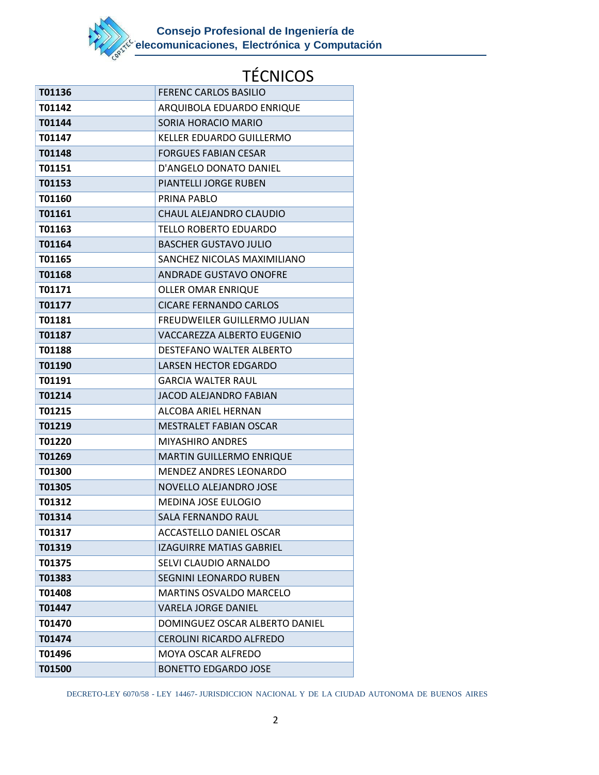

| T01136 | <b>FERENC CARLOS BASILIO</b>    |
|--------|---------------------------------|
| T01142 | ARQUIBOLA EDUARDO ENRIQUE       |
| T01144 | SORIA HORACIO MARIO             |
| T01147 | KELLER EDUARDO GUILLERMO        |
| T01148 | <b>FORGUES FABIAN CESAR</b>     |
| T01151 | D'ANGELO DONATO DANIEL          |
| T01153 | PIANTELLI JORGE RUBEN           |
| T01160 | PRINA PABLO                     |
| T01161 | CHAUL ALEJANDRO CLAUDIO         |
| T01163 | TELLO ROBERTO EDUARDO           |
| T01164 | <b>BASCHER GUSTAVO JULIO</b>    |
| T01165 | SANCHEZ NICOLAS MAXIMILIANO     |
| T01168 | <b>ANDRADE GUSTAVO ONOFRE</b>   |
| T01171 | <b>OLLER OMAR ENRIQUE</b>       |
| T01177 | <b>CICARE FERNANDO CARLOS</b>   |
| T01181 | FREUDWEILER GUILLERMO JULIAN    |
| T01187 | VACCAREZZA ALBERTO EUGENIO      |
| T01188 | DESTEFANO WALTER ALBERTO        |
| T01190 | <b>LARSEN HECTOR EDGARDO</b>    |
| T01191 | <b>GARCIA WALTER RAUL</b>       |
| T01214 | JACOD ALEJANDRO FABIAN          |
| T01215 | ALCOBA ARIEL HERNAN             |
| T01219 | <b>MESTRALET FABIAN OSCAR</b>   |
| T01220 | <b>MIYASHIRO ANDRES</b>         |
| T01269 | <b>MARTIN GUILLERMO ENRIQUE</b> |
| T01300 | <b>MENDEZ ANDRES LEONARDO</b>   |
| T01305 | NOVELLO ALEJANDRO JOSE          |
| T01312 | <b>MEDINA JOSE EULOGIO</b>      |
| T01314 | <b>SALA FERNANDO RAUL</b>       |
| T01317 | <b>ACCASTELLO DANIEL OSCAR</b>  |
| T01319 | <b>IZAGUIRRE MATIAS GABRIEL</b> |
| T01375 | SELVI CLAUDIO ARNALDO           |
| T01383 | <b>SEGNINI LEONARDO RUBEN</b>   |
| T01408 | <b>MARTINS OSVALDO MARCELO</b>  |
| T01447 | <b>VARELA JORGE DANIEL</b>      |
| T01470 | DOMINGUEZ OSCAR ALBERTO DANIEL  |
| T01474 | CEROLINI RICARDO ALFREDO        |
| T01496 | <b>MOYA OSCAR ALFREDO</b>       |
| T01500 | <b>BONETTO EDGARDO JOSE</b>     |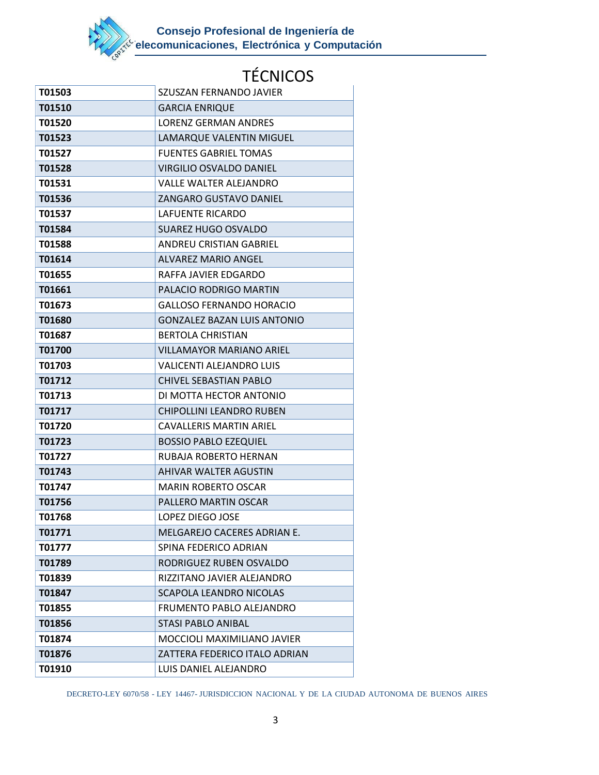

| T01503 | SZUSZAN FERNANDO JAVIER            |
|--------|------------------------------------|
| T01510 | <b>GARCIA ENRIQUE</b>              |
| T01520 | <b>LORENZ GERMAN ANDRES</b>        |
| T01523 | LAMARQUE VALENTIN MIGUEL           |
| T01527 | <b>FUENTES GABRIEL TOMAS</b>       |
| T01528 | <b>VIRGILIO OSVALDO DANIEL</b>     |
| T01531 | VALLE WALTER ALEJANDRO             |
| T01536 | <b>ZANGARO GUSTAVO DANIEL</b>      |
| T01537 | LAFUENTE RICARDO                   |
| T01584 | <b>SUAREZ HUGO OSVALDO</b>         |
| T01588 | ANDREU CRISTIAN GABRIEL            |
| T01614 | ALVAREZ MARIO ANGEL                |
| T01655 | RAFFA JAVIER EDGARDO               |
| T01661 | PALACIO RODRIGO MARTIN             |
| T01673 | <b>GALLOSO FERNANDO HORACIO</b>    |
| T01680 | <b>GONZALEZ BAZAN LUIS ANTONIO</b> |
| T01687 | <b>BERTOLA CHRISTIAN</b>           |
| T01700 | <b>VILLAMAYOR MARIANO ARIEL</b>    |
| T01703 | <b>VALICENTI ALEJANDRO LUIS</b>    |
| T01712 | <b>CHIVEL SEBASTIAN PABLO</b>      |
| T01713 | DI MOTTA HECTOR ANTONIO            |
| T01717 | <b>CHIPOLLINI LEANDRO RUBEN</b>    |
| T01720 | <b>CAVALLERIS MARTIN ARIEL</b>     |
| T01723 | <b>BOSSIO PABLO EZEQUIEL</b>       |
| T01727 | RUBAJA ROBERTO HERNAN              |
| T01743 | <b>AHIVAR WALTER AGUSTIN</b>       |
| T01747 | <b>MARIN ROBERTO OSCAR</b>         |
| T01756 | PALLERO MARTIN OSCAR               |
| T01768 | LOPEZ DIEGO JOSE                   |
| T01771 | MELGAREJO CACERES ADRIAN E.        |
| T01777 | SPINA FEDERICO ADRIAN              |
| T01789 | RODRIGUEZ RUBEN OSVALDO            |
| T01839 | RIZZITANO JAVIER ALEJANDRO         |
| T01847 | <b>SCAPOLA LEANDRO NICOLAS</b>     |
| T01855 | FRUMENTO PABLO ALEJANDRO           |
| T01856 | <b>STASI PABLO ANIBAL</b>          |
| T01874 | MOCCIOLI MAXIMILIANO JAVIER        |
| T01876 | ZATTERA FEDERICO ITALO ADRIAN      |
| T01910 | LUIS DANIEL ALEJANDRO              |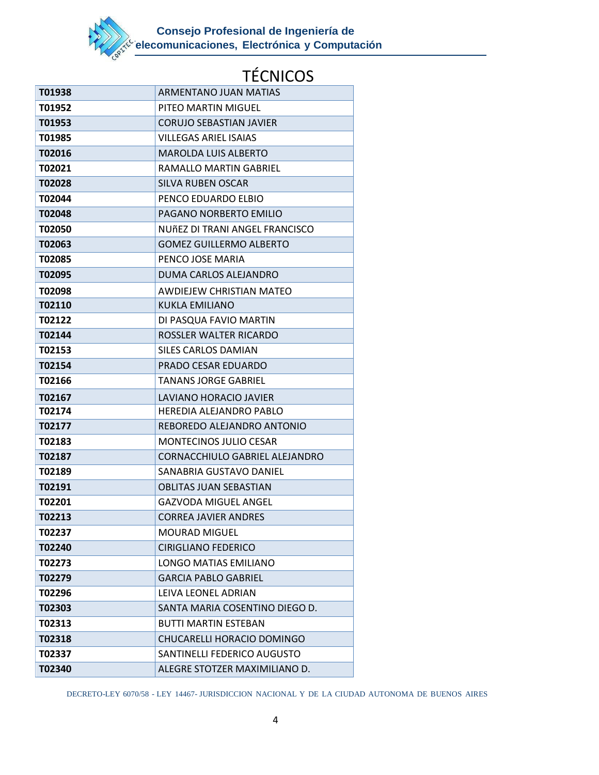

| T01938 | ARMENTANO JUAN MATIAS          |
|--------|--------------------------------|
| T01952 | PITEO MARTIN MIGUEL            |
| T01953 | <b>CORUJO SEBASTIAN JAVIER</b> |
| T01985 | <b>VILLEGAS ARIEL ISAIAS</b>   |
| T02016 | <b>MAROLDA LUIS ALBERTO</b>    |
| T02021 | RAMALLO MARTIN GABRIEL         |
| T02028 | <b>SILVA RUBEN OSCAR</b>       |
| T02044 | PENCO EDUARDO ELBIO            |
| T02048 | PAGANO NORBERTO EMILIO         |
| T02050 | NUÑEZ DI TRANI ANGEL FRANCISCO |
| T02063 | <b>GOMEZ GUILLERMO ALBERTO</b> |
| T02085 | PENCO JOSE MARIA               |
| T02095 | DUMA CARLOS ALEJANDRO          |
| T02098 | AWDIEJEW CHRISTIAN MATEO       |
| T02110 | KUKLA EMILIANO                 |
| T02122 | DI PASQUA FAVIO MARTIN         |
| T02144 | ROSSLER WALTER RICARDO         |
| T02153 | SILES CARLOS DAMIAN            |
| T02154 | PRADO CESAR EDUARDO            |
| T02166 | <b>TANANS JORGE GABRIEL</b>    |
| T02167 | LAVIANO HORACIO JAVIER         |
| T02174 | HEREDIA ALEJANDRO PABLO        |
| T02177 | REBOREDO ALEJANDRO ANTONIO     |
| T02183 | <b>MONTECINOS JULIO CESAR</b>  |
| T02187 | CORNACCHIULO GABRIEL ALEJANDRO |
| T02189 | SANABRIA GUSTAVO DANIEL        |
| T02191 | <b>OBLITAS JUAN SEBASTIAN</b>  |
| T02201 | GAZVODA MIGUEL ANGEL           |
| T02213 | <b>CORREA JAVIER ANDRES</b>    |
| T02237 | <b>MOURAD MIGUEL</b>           |
| T02240 | <b>CIRIGLIANO FEDERICO</b>     |
| T02273 | LONGO MATIAS EMILIANO          |
| T02279 | <b>GARCIA PABLO GABRIEL</b>    |
| T02296 | LEIVA LEONEL ADRIAN            |
| T02303 | SANTA MARIA COSENTINO DIEGO D. |
| T02313 | <b>BUTTI MARTIN ESTEBAN</b>    |
| T02318 | CHUCARELLI HORACIO DOMINGO     |
| T02337 | SANTINELLI FEDERICO AUGUSTO    |
| T02340 | ALEGRE STOTZER MAXIMILIANO D.  |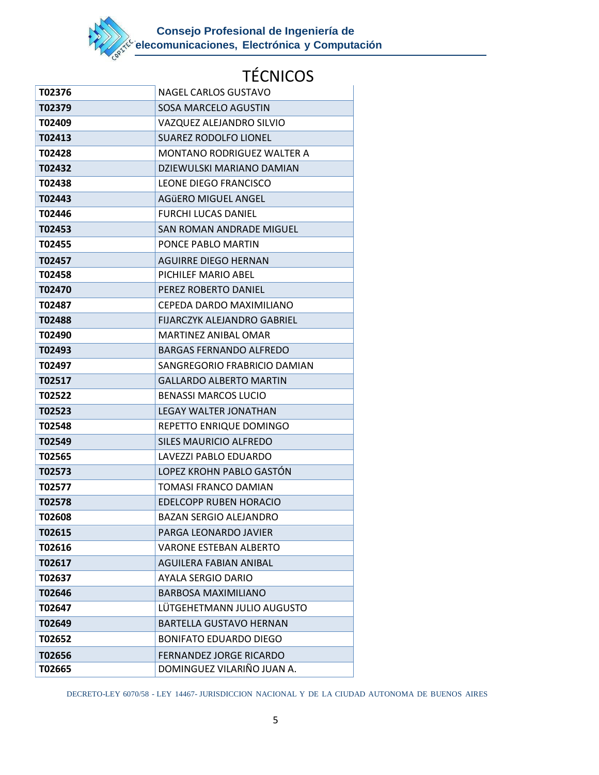

| T02376 | NAGEL CARLOS GUSTAVO               |
|--------|------------------------------------|
| T02379 | <b>SOSA MARCELO AGUSTIN</b>        |
| T02409 | VAZQUEZ ALEJANDRO SILVIO           |
| T02413 | <b>SUAREZ RODOLFO LIONEL</b>       |
| T02428 | <b>MONTANO RODRIGUEZ WALTER A</b>  |
| T02432 | DZIEWULSKI MARIANO DAMIAN          |
| T02438 | LEONE DIEGO FRANCISCO              |
| T02443 | AGÜERO MIGUEL ANGEL                |
| T02446 | <b>FURCHI LUCAS DANIEL</b>         |
| T02453 | SAN ROMAN ANDRADE MIGUEL           |
| T02455 | PONCE PABLO MARTIN                 |
| T02457 | <b>AGUIRRE DIEGO HERNAN</b>        |
| T02458 | PICHILEF MARIO ABEL                |
| T02470 | PEREZ ROBERTO DANIEL               |
| T02487 | CEPEDA DARDO MAXIMILIANO           |
| T02488 | <b>FIJARCZYK ALEJANDRO GABRIEL</b> |
| T02490 | MARTINEZ ANIBAL OMAR               |
| T02493 | <b>BARGAS FERNANDO ALFREDO</b>     |
| T02497 | SANGREGORIO FRABRICIO DAMIAN       |
| T02517 | <b>GALLARDO ALBERTO MARTIN</b>     |
| T02522 | <b>BENASSI MARCOS LUCIO</b>        |
| T02523 | <b>LEGAY WALTER JONATHAN</b>       |
| T02548 | REPETTO ENRIQUE DOMINGO            |
| T02549 | <b>SILES MAURICIO ALFREDO</b>      |
| T02565 | LAVEZZI PABLO EDUARDO              |
| T02573 | LOPEZ KROHN PABLO GASTÓN           |
| T02577 | TOMASI FRANCO DAMIAN               |
| T02578 | EDELCOPP RUBEN HORACIO             |
| T02608 | <b>BAZAN SERGIO ALEJANDRO</b>      |
| T02615 | PARGA LEONARDO JAVIER              |
| T02616 | <b>VARONE ESTEBAN ALBERTO</b>      |
| T02617 | AGUILERA FABIAN ANIBAL             |
| T02637 | AYALA SERGIO DARIO                 |
| T02646 | <b>BARBOSA MAXIMILIANO</b>         |
| T02647 | LÜTGEHETMANN JULIO AUGUSTO         |
| T02649 | <b>BARTELLA GUSTAVO HERNAN</b>     |
| T02652 | <b>BONIFATO EDUARDO DIEGO</b>      |
| T02656 | <b>FERNANDEZ JORGE RICARDO</b>     |
| T02665 | DOMINGUEZ VILARIÑO JUAN A.         |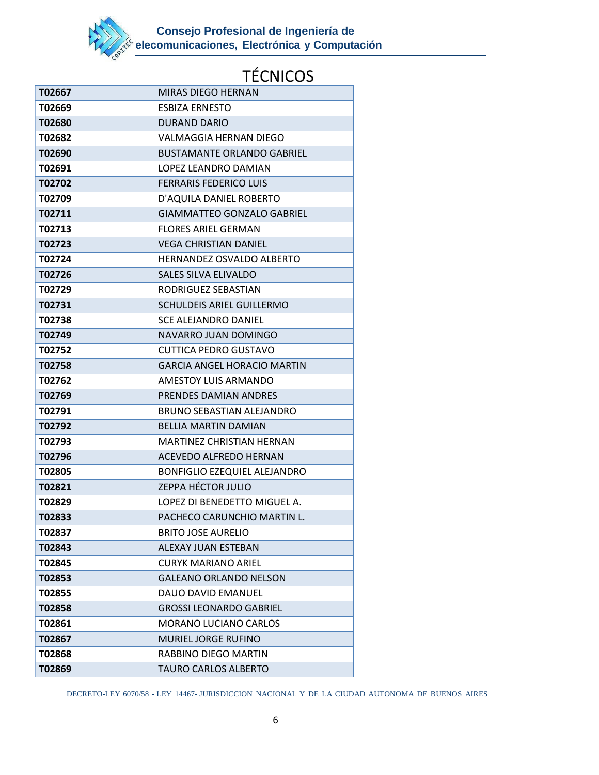

| T02667 | <b>MIRAS DIEGO HERNAN</b>          |
|--------|------------------------------------|
| T02669 | <b>ESBIZA ERNESTO</b>              |
| T02680 | <b>DURAND DARIO</b>                |
| T02682 | VALMAGGIA HERNAN DIEGO             |
| T02690 | <b>BUSTAMANTE ORLANDO GABRIEL</b>  |
| T02691 | LOPEZ LEANDRO DAMIAN               |
| T02702 | <b>FERRARIS FEDERICO LUIS</b>      |
| T02709 | D'AQUILA DANIEL ROBERTO            |
| T02711 | <b>GIAMMATTEO GONZALO GABRIEL</b>  |
| T02713 | <b>FLORES ARIEL GERMAN</b>         |
| T02723 | <b>VEGA CHRISTIAN DANIEL</b>       |
| T02724 | <b>HERNANDEZ OSVALDO ALBERTO</b>   |
| T02726 | <b>SALES SILVA ELIVALDO</b>        |
| T02729 | RODRIGUEZ SEBASTIAN                |
| T02731 | <b>SCHULDEIS ARIEL GUILLERMO</b>   |
| T02738 | <b>SCE ALEJANDRO DANIEL</b>        |
| T02749 | NAVARRO JUAN DOMINGO               |
| T02752 | CUTTICA PEDRO GUSTAVO              |
| T02758 | <b>GARCIA ANGEL HORACIO MARTIN</b> |
| T02762 | AMESTOY LUIS ARMANDO               |
| T02769 | PRENDES DAMIAN ANDRES              |
| T02791 | <b>BRUNO SEBASTIAN ALEJANDRO</b>   |
| T02792 | <b>BELLIA MARTIN DAMIAN</b>        |
| T02793 | <b>MARTINEZ CHRISTIAN HERNAN</b>   |
| T02796 | <b>ACEVEDO ALFREDO HERNAN</b>      |
| T02805 | BONFIGLIO EZEQUIEL ALEJANDRO       |
| T02821 | ZEPPA HÉCTOR JULIO                 |
| T02829 | LOPEZ DI BENEDETTO MIGUEL A.       |
| T02833 | PACHECO CARUNCHIO MARTIN L.        |
| T02837 | <b>BRITO JOSE AURELIO</b>          |
| T02843 | <b>ALEXAY JUAN ESTEBAN</b>         |
| T02845 | <b>CURYK MARIANO ARIEL</b>         |
| T02853 | <b>GALEANO ORLANDO NELSON</b>      |
| T02855 | DAUO DAVID EMANUEL                 |
| T02858 | <b>GROSSI LEONARDO GABRIEL</b>     |
| T02861 | <b>MORANO LUCIANO CARLOS</b>       |
| T02867 | <b>MURIEL JORGE RUFINO</b>         |
| T02868 | RABBINO DIEGO MARTIN               |
| T02869 | TAURO CARLOS ALBERTO               |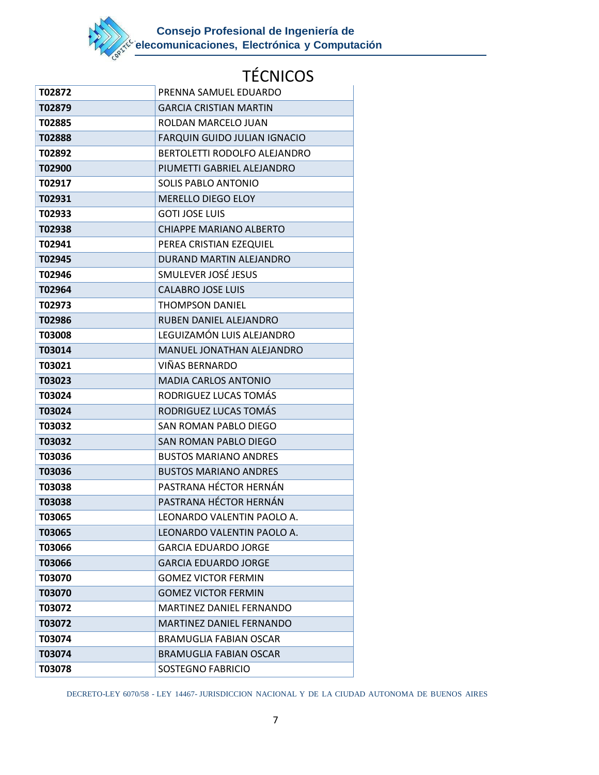

| T02872        | PRENNA SAMUEL EDUARDO           |
|---------------|---------------------------------|
| T02879        | <b>GARCIA CRISTIAN MARTIN</b>   |
| T02885        | ROLDAN MARCELO JUAN             |
| <b>T02888</b> | FARQUIN GUIDO JULIAN IGNACIO    |
| T02892        | BERTOLETTI RODOLFO ALEJANDRO    |
| T02900        | PIUMETTI GABRIEL ALEJANDRO      |
| T02917        | <b>SOLIS PABLO ANTONIO</b>      |
| T02931        | <b>MERELLO DIEGO ELOY</b>       |
| T02933        | <b>GOTI JOSE LUIS</b>           |
| T02938        | <b>CHIAPPE MARIANO ALBERTO</b>  |
| T02941        | PEREA CRISTIAN EZEQUIEL         |
| T02945        | DURAND MARTIN ALEJANDRO         |
| T02946        | SMULEVER JOSÉ JESUS             |
| T02964        | <b>CALABRO JOSE LUIS</b>        |
| T02973        | <b>THOMPSON DANIEL</b>          |
| T02986        | RUBEN DANIEL ALEJANDRO          |
| <b>T03008</b> | LEGUIZAMÓN LUIS ALEJANDRO       |
| T03014        | MANUEL JONATHAN ALEJANDRO       |
| T03021        | VIÑAS BERNARDO                  |
| T03023        | <b>MADIA CARLOS ANTONIO</b>     |
| T03024        | RODRIGUEZ LUCAS TOMÁS           |
| T03024        | RODRIGUEZ LUCAS TOMÁS           |
| T03032        | SAN ROMAN PABLO DIEGO           |
| T03032        | SAN ROMAN PABLO DIEGO           |
| T03036        | <b>BUSTOS MARIANO ANDRES</b>    |
| T03036        | <b>BUSTOS MARIANO ANDRES</b>    |
| <b>T03038</b> | PASTRANA HÉCTOR HERNÁN          |
| T03038        | PASTRANA HÉCTOR HERNÁN          |
| T03065        | LEONARDO VALENTIN PAOLO A.      |
| T03065        | LEONARDO VALENTIN PAOLO A.      |
| T03066        | <b>GARCIA EDUARDO JORGE</b>     |
| T03066        | <b>GARCIA EDUARDO JORGE</b>     |
| T03070        | <b>GOMEZ VICTOR FERMIN</b>      |
| T03070        | <b>GOMEZ VICTOR FERMIN</b>      |
| T03072        | MARTINEZ DANIEL FERNANDO        |
| T03072        | <b>MARTINEZ DANIEL FERNANDO</b> |
| T03074        | <b>BRAMUGLIA FABIAN OSCAR</b>   |
| T03074        | <b>BRAMUGLIA FABIAN OSCAR</b>   |
| T03078        | SOSTEGNO FABRICIO               |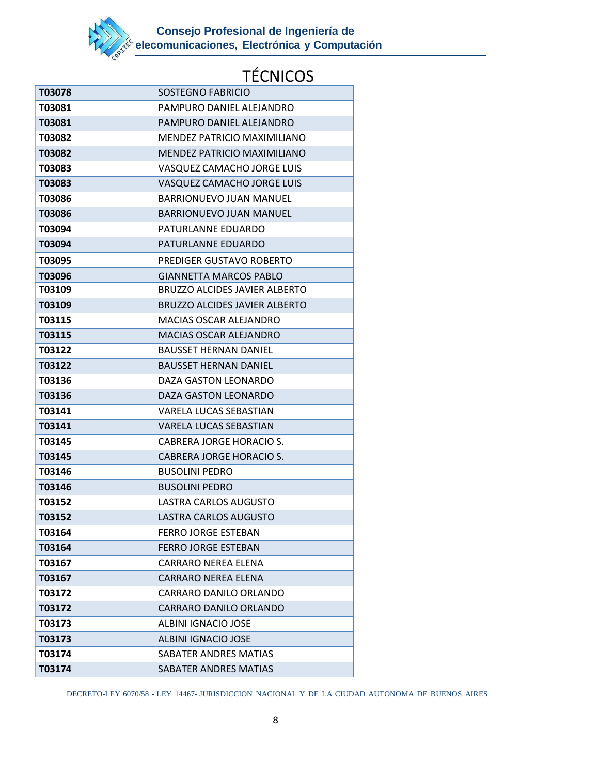

| T03078        | SOSTEGNO FABRICIO                    |
|---------------|--------------------------------------|
| <b>T03081</b> | PAMPURO DANIEL ALEJANDRO             |
| T03081        | PAMPURO DANIEL ALEJANDRO             |
| T03082        | MENDEZ PATRICIO MAXIMILIANO          |
| T03082        | MENDEZ PATRICIO MAXIMILIANO          |
| T03083        | VASQUEZ CAMACHO JORGE LUIS           |
| T03083        | VASQUEZ CAMACHO JORGE LUIS           |
| T03086        | <b>BARRIONUEVO JUAN MANUEL</b>       |
| T03086        | <b>BARRIONUEVO JUAN MANUEL</b>       |
| T03094        | PATURLANNE EDUARDO                   |
| T03094        | PATURLANNE EDUARDO                   |
| T03095        | PREDIGER GUSTAVO ROBERTO             |
| T03096        | <b>GIANNETTA MARCOS PABLO</b>        |
| T03109        | <b>BRUZZO ALCIDES JAVIER ALBERTO</b> |
| T03109        | <b>BRUZZO ALCIDES JAVIER ALBERTO</b> |
| <b>T03115</b> | <b>MACIAS OSCAR ALEJANDRO</b>        |
| T03115        | <b>MACIAS OSCAR ALEJANDRO</b>        |
| T03122        | <b>BAUSSET HERNAN DANIEL</b>         |
| T03122        | <b>BAUSSET HERNAN DANIEL</b>         |
| T03136        | DAZA GASTON LEONARDO                 |
| T03136        | DAZA GASTON LEONARDO                 |
| T03141        | VARELA LUCAS SEBASTIAN               |
| T03141        | <b>VARELA LUCAS SEBASTIAN</b>        |
| T03145        | CABRERA JORGE HORACIO S.             |
| T03145        | <b>CABRERA JORGE HORACIO S.</b>      |
| T03146        | <b>BUSOLINI PEDRO</b>                |
| T03146        | <b>BUSOLINI PEDRO</b>                |
| T03152        | LASTRA CARLOS AUGUSTO                |
| T03152        | <b>LASTRA CARLOS AUGUSTO</b>         |
| T03164        | <b>FERRO JORGE ESTEBAN</b>           |
| T03164        | <b>FERRO JORGE ESTEBAN</b>           |
| T03167        | <b>CARRARO NEREA ELENA</b>           |
| T03167        | <b>CARRARO NEREA ELENA</b>           |
| T03172        | CARRARO DANILO ORLANDO               |
| T03172        | CARRARO DANILO ORLANDO               |
| T03173        | ALBINI IGNACIO JOSE                  |
| T03173        | <b>ALBINI IGNACIO JOSE</b>           |
| T03174        | SABATER ANDRES MATIAS                |
| T03174        | <b>SABATER ANDRES MATIAS</b>         |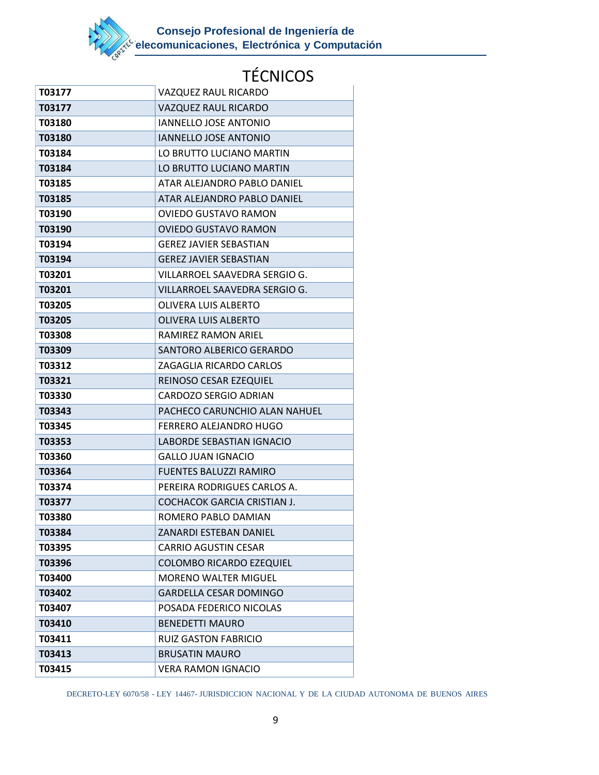

| T03177 | VAZQUEZ RAUL RICARDO               |
|--------|------------------------------------|
| T03177 | VAZQUEZ RAUL RICARDO               |
| T03180 | <b>IANNELLO JOSE ANTONIO</b>       |
| T03180 | <b>IANNELLO JOSE ANTONIO</b>       |
| T03184 | LO BRUTTO LUCIANO MARTIN           |
| T03184 | LO BRUTTO LUCIANO MARTIN           |
| T03185 | ATAR ALEJANDRO PABLO DANIEL        |
| T03185 | ATAR ALEJANDRO PABLO DANIEL        |
| T03190 | OVIEDO GUSTAVO RAMON               |
| T03190 | <b>OVIEDO GUSTAVO RAMON</b>        |
| T03194 | <b>GEREZ JAVIER SEBASTIAN</b>      |
| T03194 | <b>GEREZ JAVIER SEBASTIAN</b>      |
| T03201 | VILLARROEL SAAVEDRA SERGIO G.      |
| T03201 | VILLARROEL SAAVEDRA SERGIO G.      |
| T03205 | <b>OLIVERA LUIS ALBERTO</b>        |
| T03205 | <b>OLIVERA LUIS ALBERTO</b>        |
| T03308 | RAMIREZ RAMON ARIEL                |
| T03309 | SANTORO ALBERICO GERARDO           |
| T03312 | ZAGAGLIA RICARDO CARLOS            |
| T03321 | REINOSO CESAR EZEQUIEL             |
| T03330 | CARDOZO SERGIO ADRIAN              |
| T03343 | PACHECO CARUNCHIO ALAN NAHUEL      |
| T03345 | FERRERO ALEJANDRO HUGO             |
| T03353 | LABORDE SEBASTIAN IGNACIO          |
| T03360 | <b>GALLO JUAN IGNACIO</b>          |
| T03364 | <b>FUENTES BALUZZI RAMIRO</b>      |
| T03374 | PEREIRA RODRIGUES CARLOS A.        |
| T03377 | <b>COCHACOK GARCIA CRISTIAN J.</b> |
| T03380 | ROMERO PABLO DAMIAN                |
| T03384 | ZANARDI ESTEBAN DANIEL             |
| T03395 | <b>CARRIO AGUSTIN CESAR</b>        |
| T03396 | <b>COLOMBO RICARDO EZEQUIEL</b>    |
| T03400 | <b>MORENO WALTER MIGUEL</b>        |
| T03402 | <b>GARDELLA CESAR DOMINGO</b>      |
| T03407 | POSADA FEDERICO NICOLAS            |
| T03410 | <b>BENEDETTI MAURO</b>             |
| T03411 | <b>RUIZ GASTON FABRICIO</b>        |
| T03413 | <b>BRUSATIN MAURO</b>              |
| T03415 | <b>VERA RAMON IGNACIO</b>          |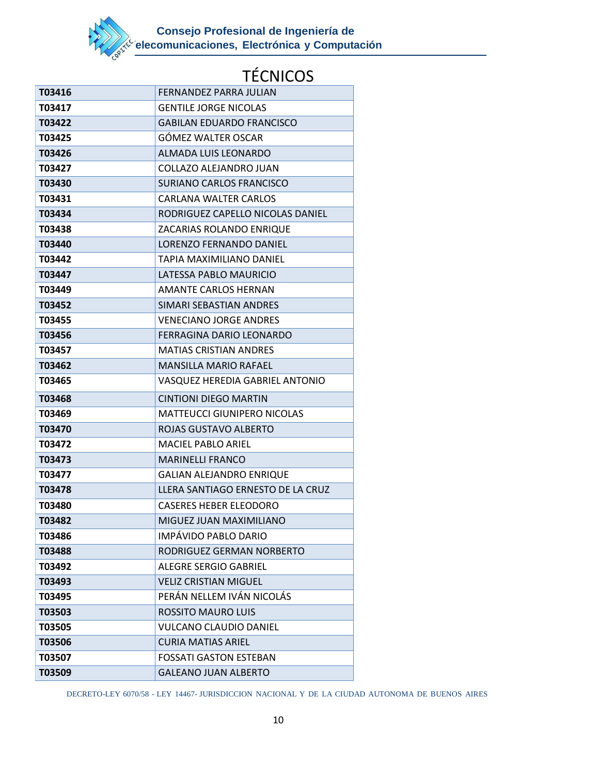

| T03416 | FERNANDEZ PARRA JULIAN             |
|--------|------------------------------------|
| T03417 | <b>GENTILE JORGE NICOLAS</b>       |
| T03422 | <b>GABILAN EDUARDO FRANCISCO</b>   |
| T03425 | <b>GOMEZ WALTER OSCAR</b>          |
| T03426 | <b>ALMADA LUIS LEONARDO</b>        |
| T03427 | COLLAZO ALEJANDRO JUAN             |
| T03430 | SURIANO CARLOS FRANCISCO           |
| T03431 | CARLANA WALTER CARLOS              |
| T03434 | RODRIGUEZ CAPELLO NICOLAS DANIEL   |
| T03438 | ZACARIAS ROLANDO ENRIQUE           |
| T03440 | LORENZO FERNANDO DANIEL            |
| T03442 | TAPIA MAXIMILIANO DANIEL           |
| T03447 | LATESSA PABLO MAURICIO             |
| T03449 | <b>AMANTE CARLOS HERNAN</b>        |
| T03452 | SIMARI SEBASTIAN ANDRES            |
| T03455 | <b>VENECIANO JORGE ANDRES</b>      |
| T03456 | FERRAGINA DARIO LEONARDO           |
| T03457 | <b>MATIAS CRISTIAN ANDRES</b>      |
| T03462 | <b>MANSILLA MARIO RAFAEL</b>       |
| T03465 | VASQUEZ HEREDIA GABRIEL ANTONIO    |
|        |                                    |
| T03468 | <b>CINTIONI DIEGO MARTIN</b>       |
| T03469 | <b>MATTEUCCI GIUNIPERO NICOLAS</b> |
| T03470 | ROJAS GUSTAVO ALBERTO              |
| T03472 | <b>MACIEL PABLO ARIEL</b>          |
| T03473 | <b>MARINELLI FRANCO</b>            |
| T03477 | <b>GALIAN ALEJANDRO ENRIQUE</b>    |
| T03478 | LLERA SANTIAGO ERNESTO DE LA CRUZ  |
| T03480 | <b>CASERES HEBER ELEODORO</b>      |
| T03482 | MIGUEZ JUAN MAXIMILIANO            |
| T03486 | IMPÁVIDO PABLO DARIO               |
| T03488 | RODRIGUEZ GERMAN NORBERTO          |
| T03492 | ALEGRE SERGIO GABRIEL              |
| T03493 | <b>VELIZ CRISTIAN MIGUEL</b>       |
| T03495 | PERÁN NELLEM IVÁN NICOLÁS          |
| T03503 | <b>ROSSITO MAURO LUIS</b>          |
| T03505 | VULCANO CLAUDIO DANIEL             |
| T03506 | <b>CURIA MATIAS ARIEL</b>          |
| T03507 | <b>FOSSATI GASTON ESTEBAN</b>      |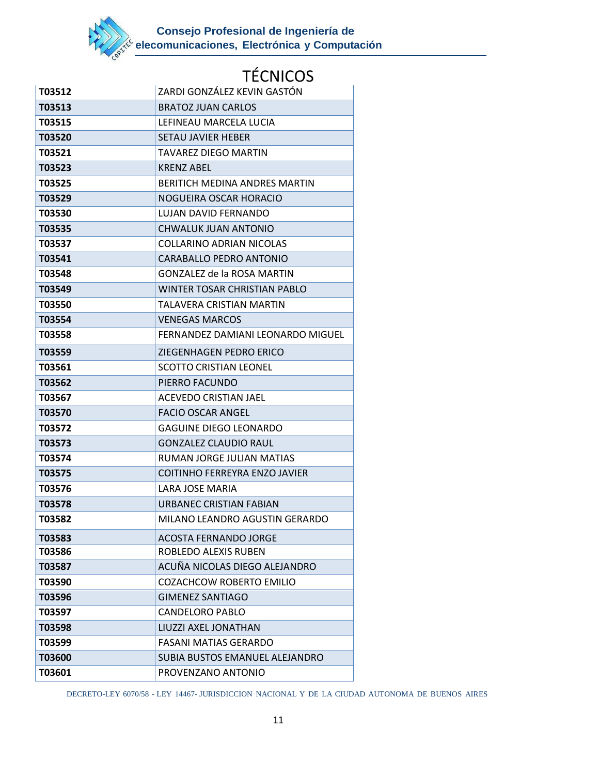

| T03512        | ZARDI GONZÁLEZ KEVIN GASTÓN          |
|---------------|--------------------------------------|
| T03513        | <b>BRATOZ JUAN CARLOS</b>            |
| T03515        | LEFINEAU MARCELA LUCIA               |
| T03520        | <b>SETAU JAVIER HEBER</b>            |
| T03521        | <b>TAVAREZ DIEGO MARTIN</b>          |
| T03523        | <b>KRENZ ABEL</b>                    |
| T03525        | BERITICH MEDINA ANDRES MARTIN        |
| T03529        | NOGUEIRA OSCAR HORACIO               |
| T03530        | LUJAN DAVID FERNANDO                 |
| T03535        | CHWALUK JUAN ANTONIO                 |
| T03537        | <b>COLLARINO ADRIAN NICOLAS</b>      |
| T03541        | CARABALLO PEDRO ANTONIO              |
| T03548        | GONZALEZ de la ROSA MARTIN           |
| T03549        | <b>WINTER TOSAR CHRISTIAN PABLO</b>  |
| <b>T03550</b> | TALAVERA CRISTIAN MARTIN             |
| T03554        | <b>VENEGAS MARCOS</b>                |
| T03558        | FERNANDEZ DAMIANI LEONARDO MIGUEL    |
| T03559        | ZIEGENHAGEN PEDRO ERICO              |
| T03561        | <b>SCOTTO CRISTIAN LEONEL</b>        |
| T03562        | PIERRO FACUNDO                       |
| T03567        | ACEVEDO CRISTIAN JAEL                |
| T03570        | <b>FACIO OSCAR ANGEL</b>             |
| T03572        | <b>GAGUINE DIEGO LEONARDO</b>        |
| T03573        | <b>GONZALEZ CLAUDIO RAUL</b>         |
| T03574        | RUMAN JORGE JULIAN MATIAS            |
| T03575        | <b>COITINHO FERREYRA ENZO JAVIER</b> |
| T03576        | LARA JOSE MARIA                      |
| T03578        | URBANEC CRISTIAN FABIAN              |
| T03582        | MILANO LEANDRO AGUSTIN GERARDO       |
| T03583        | <b>ACOSTA FERNANDO JORGE</b>         |
| T03586        | ROBLEDO ALEXIS RUBEN                 |
| T03587        | ACUÑA NICOLAS DIEGO ALEJANDRO        |
| T03590        | COZACHCOW ROBERTO EMILIO             |
| T03596        | <b>GIMENEZ SANTIAGO</b>              |
| T03597        | <b>CANDELORO PABLO</b>               |
| T03598        | LIUZZI AXEL JONATHAN                 |
| T03599        | <b>FASANI MATIAS GERARDO</b>         |
| T03600        | SUBIA BUSTOS EMANUEL ALEJANDRO       |
| T03601        | PROVENZANO ANTONIO                   |